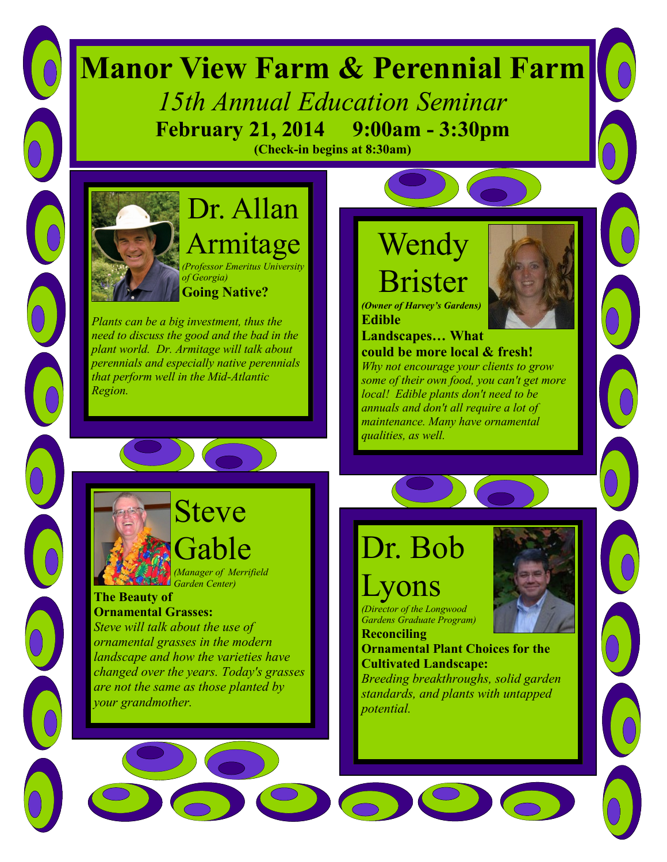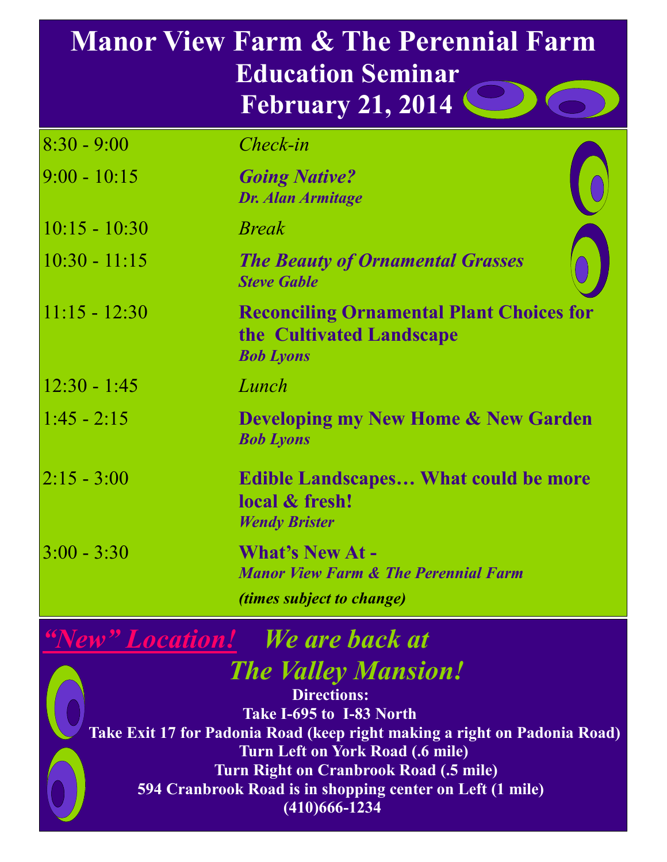## **Manor View Farm & The Perennial Farm Education Seminar February 21, 2014**

| $8:30 - 9:00$   | Check-in                                                                                                      |  |
|-----------------|---------------------------------------------------------------------------------------------------------------|--|
| $9:00 - 10:15$  | <b>Going Native?</b><br><b>Dr. Alan Armitage</b>                                                              |  |
| $10:15 - 10:30$ | <b>Break</b>                                                                                                  |  |
| $10:30 - 11:15$ | <b>The Beauty of Ornamental Grasses</b><br><b>Steve Gable</b>                                                 |  |
| $11:15 - 12:30$ | <b>Reconciling Ornamental Plant Choices for</b><br>the Cultivated Landscape<br><b>Bob Lyons</b>               |  |
| $12:30 - 1:45$  | Lunch                                                                                                         |  |
| $1:45 - 2:15$   | <b>Developing my New Home &amp; New Garden</b><br><b>Bob Lyons</b>                                            |  |
| $2:15 - 3:00$   | <b>Edible Landscapes What could be more</b><br>local & fresh!<br><b>Wendy Brister</b>                         |  |
| $3:00 - 3:30$   | <b>What's New At -</b><br><b>Manor View Farm &amp; The Perennial Farm</b><br><i>(times subject to change)</i> |  |

*"New" Location! We are back at The Valley Mansion!*

**Directions: Take I-695 to I-83 North Take Exit 17 for Padonia Road (keep right making a right on Padonia Road) Turn Left on York Road (.6 mile) Turn Right on Cranbrook Road (.5 mile) 594 Cranbrook Road is in shopping center on Left (1 mile) (410)666-1234**